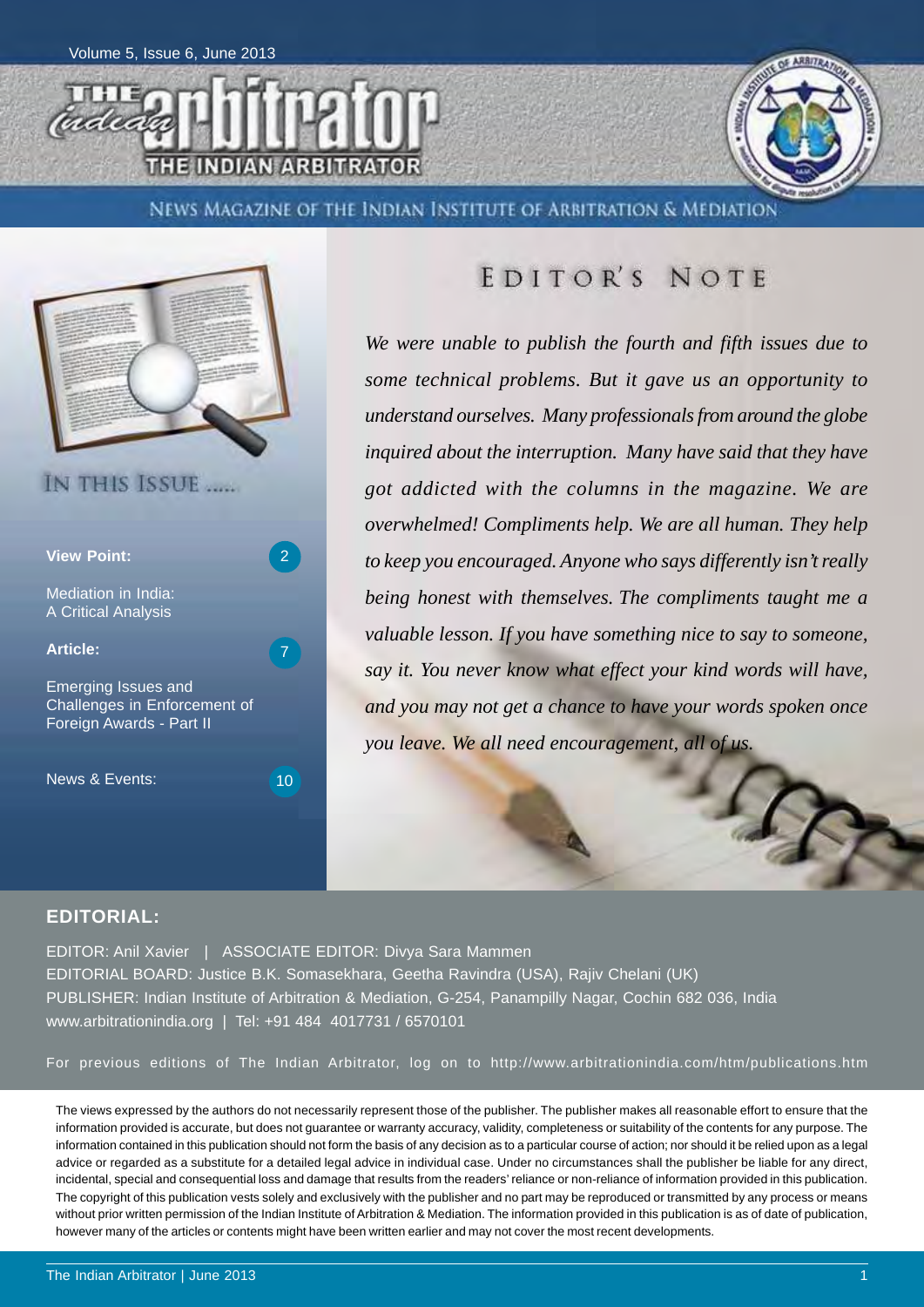



NEWS MAGAZINE OF THE INDIAN INSTITUTE OF ARBITRATION & MEDIATION



## EDITOR'S NOTE

*We were unable to publish the fourth and fifth issues due to some technical problems. But it gave us an opportunity to understand ourselves. Many professionals from around the globe inquired about the interruption. Many have said that they have got addicted with the columns in the magazine. We are overwhelmed! Compliments help. We are all human. They help to keep you encouraged. Anyone who says differently isn't really being honest with themselves. The compliments taught me a valuable lesson. If you have something nice to say to someone, say it. You never know what effect your kind words will have, and you may not get a chance to have your words spoken once you leave. We all need encouragement, all of us.*

### **EDITORIAL:**

EDITOR: Anil Xavier | ASSOCIATE EDITOR: Divya Sara Mammen EDITORIAL BOARD: Justice B.K. Somasekhara, Geetha Ravindra (USA), Rajiv Chelani (UK) PUBLISHER: Indian Institute of Arbitration & Mediation, G-254, Panampilly Nagar, Cochin 682 036, India www.arbitrationindia.org | Tel: +91 484 4017731 / 6570101

For previous editions of The Indian Arbitrator, log on to http://www.arbitrationindia.com/htm/publications.htm

The views expressed by the authors do not necessarily represent those of the publisher. The publisher makes all reasonable effort to ensure that the information provided is accurate, but does not guarantee or warranty accuracy, validity, completeness or suitability of the contents for any purpose. The information contained in this publication should not form the basis of any decision as to a particular course of action; nor should it be relied upon as a legal advice or regarded as a substitute for a detailed legal advice in individual case. Under no circumstances shall the publisher be liable for any direct, incidental, special and consequential loss and damage that results from the readers' reliance or non-reliance of information provided in this publication. The copyright of this publication vests solely and exclusively with the publisher and no part may be reproduced or transmitted by any process or means without prior written permission of the Indian Institute of Arbitration & Mediation. The information provided in this publication is as of date of publication, however many of the articles or contents might have been written earlier and may not cover the most recent developments.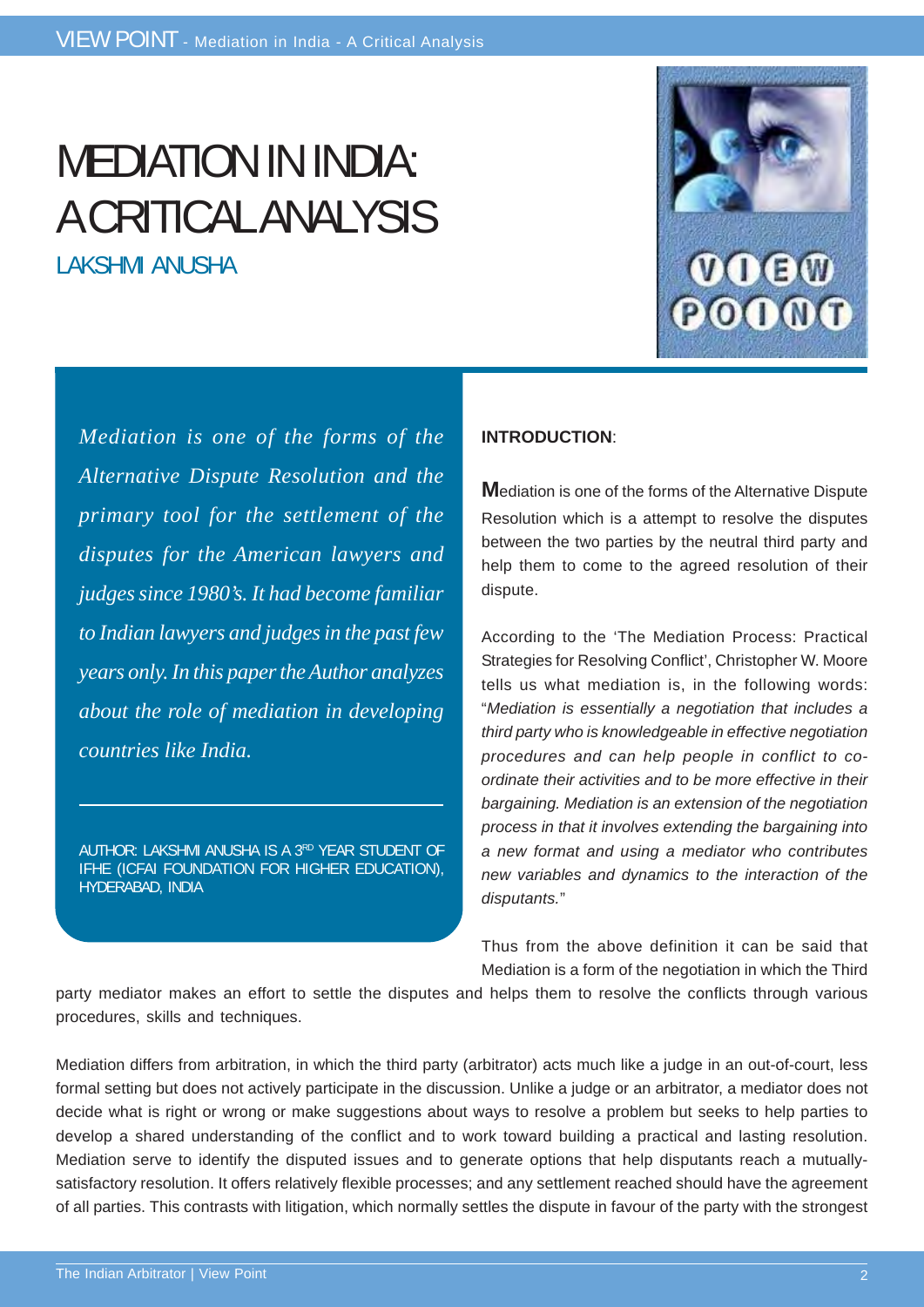# MEDIATION IN INDIA: A CRITICAL ANALYSIS

LAKSHMI ANUSHA



*Mediation is one of the forms of the Alternative Dispute Resolution and the primary tool for the settlement of the disputes for the American lawyers and judges since 1980's. It had become familiar to Indian lawyers and judges in the past few years only. In this paper the Author analyzes about the role of mediation in developing countries like India.*

AUTHOR: LAKSHMI ANUSHA IS A 3RD YEAR STUDENT OF IFHE (ICFAI FOUNDATION FOR HIGHER EDUCATION), HYDERABAD, INDIA

### **INTRODUCTION**:

**M**ediation is one of the forms of the Alternative Dispute Resolution which is a attempt to resolve the disputes between the two parties by the neutral third party and help them to come to the agreed resolution of their dispute.

According to the 'The Mediation Process: Practical Strategies for Resolving Conflict', Christopher W. Moore tells us what mediation is, in the following words: "*Mediation is essentially a negotiation that includes a third party who is knowledgeable in effective negotiation procedures and can help people in conflict to coordinate their activities and to be more effective in their bargaining. Mediation is an extension of the negotiation process in that it involves extending the bargaining into a new format and using a mediator who contributes new variables and dynamics to the interaction of the disputants.*"

Thus from the above definition it can be said that Mediation is a form of the negotiation in which the Third

party mediator makes an effort to settle the disputes and helps them to resolve the conflicts through various procedures, skills and techniques.

Mediation differs from arbitration, in which the third party (arbitrator) acts much like a judge in an out-of-court, less formal setting but does not actively participate in the discussion. Unlike a judge or an arbitrator, a mediator does not decide what is right or wrong or make suggestions about ways to resolve a problem but seeks to help parties to develop a shared understanding of the conflict and to work toward building a practical and lasting resolution. Mediation serve to identify the disputed issues and to generate options that help disputants reach a mutuallysatisfactory resolution. It offers relatively flexible processes; and any settlement reached should have the agreement of all parties. This contrasts with litigation, which normally settles the dispute in favour of the party with the strongest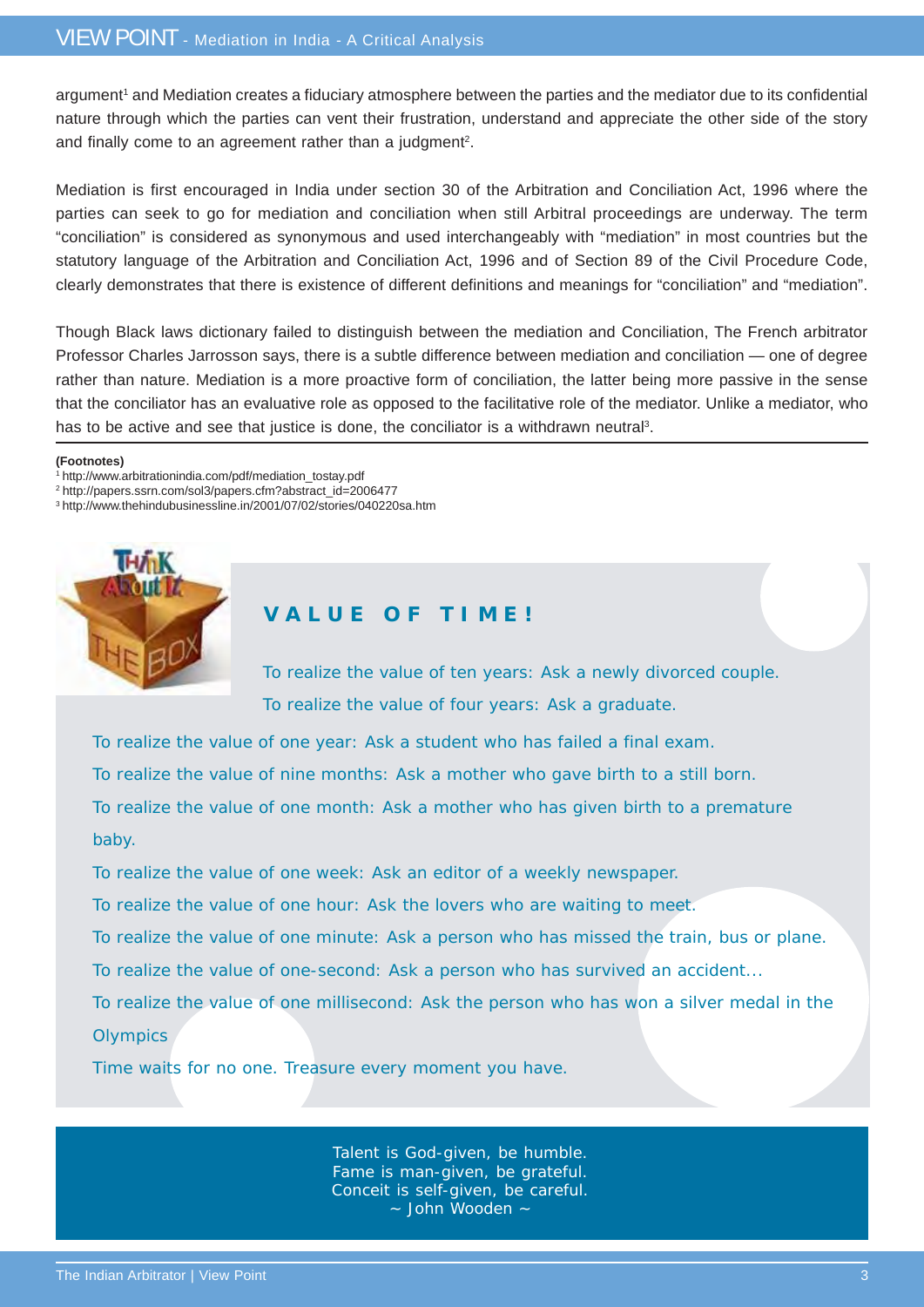argument<sup>1</sup> and Mediation creates a fiduciary atmosphere between the parties and the mediator due to its confidential nature through which the parties can vent their frustration, understand and appreciate the other side of the story and finally come to an agreement rather than a judgment<sup>2</sup>.

Mediation is first encouraged in India under section 30 of the Arbitration and Conciliation Act, 1996 where the parties can seek to go for mediation and conciliation when still Arbitral proceedings are underway. The term "conciliation" is considered as synonymous and used interchangeably with "mediation" in most countries but the statutory language of the Arbitration and Conciliation Act, 1996 and of Section 89 of the Civil Procedure Code, clearly demonstrates that there is existence of different definitions and meanings for "conciliation" and "mediation".

Though Black laws dictionary failed to distinguish between the mediation and Conciliation, The French arbitrator Professor Charles Jarrosson says, there is a subtle difference between mediation and conciliation — one of degree rather than nature. Mediation is a more proactive form of conciliation, the latter being more passive in the sense that the conciliator has an evaluative role as opposed to the facilitative role of the mediator. Unlike a mediator, who has to be active and see that justice is done, the conciliator is a withdrawn neutral<sup>3</sup>.

#### **(Footnotes)**

- 1 http://www.arbitrationindia.com/pdf/mediation\_tostay.pdf
- 2 http://papers.ssrn.com/sol3/papers.cfm?abstract\_id=2006477
- 3 http://www.thehindubusinessline.in/2001/07/02/stories/040220sa.htm



### **V A L U E O F T I M E !**

To realize the value of ten years: Ask a newly divorced couple. To realize the value of four years: Ask a graduate.

To realize the value of one year: Ask a student who has failed a final exam.

To realize the value of nine months: Ask a mother who gave birth to a still born.

To realize the value of one month: Ask a mother who has given birth to a premature

#### baby.

To realize the value of one week: Ask an editor of a weekly newspaper.

To realize the value of one hour: Ask the lovers who are waiting to meet.

To realize the value of one minute: Ask a person who has missed the train, bus or plane.

To realize the value of one-second: Ask a person who has survived an accident...

To realize the value of one millisecond: Ask the person who has won a silver medal in the **Olympics** 

Time waits for no one. Treasure every moment you have.

Talent is God-given, be humble. Fame is man-given, be grateful. Conceit is self-given, be careful. ~ John Wooden ~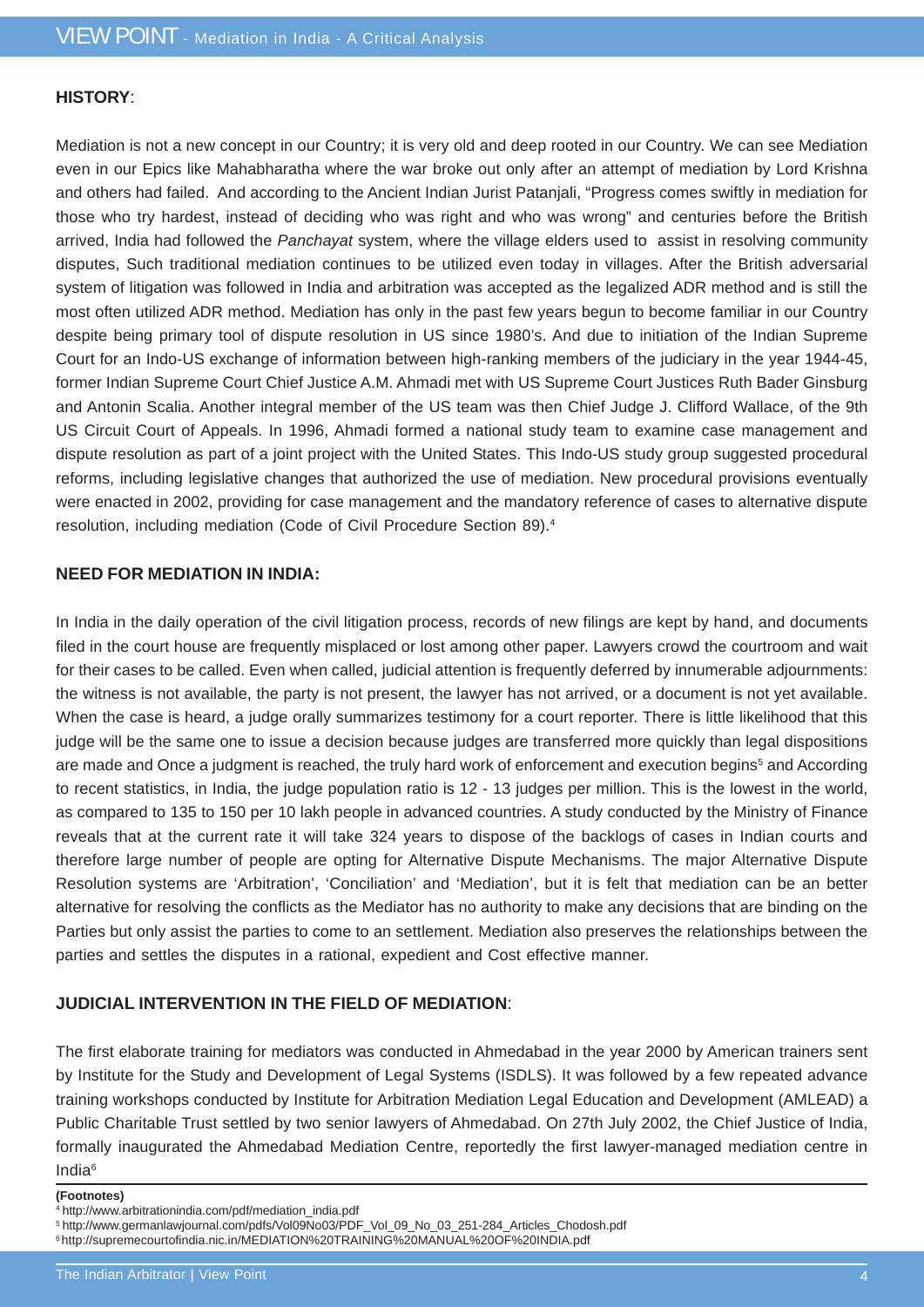### **HISTORY**:

Mediation is not a new concept in our Country; it is very old and deep rooted in our Country. We can see Mediation even in our Epics like Mahabharatha where the war broke out only after an attempt of mediation by Lord Krishna and others had failed. And according to the Ancient Indian Jurist Patanjali, "Progress comes swiftly in mediation for those who try hardest, instead of deciding who was right and who was wrong" and centuries before the British arrived, India had followed the *Panchayat* system, where the village elders used to assist in resolving community disputes, Such traditional mediation continues to be utilized even today in villages. After the British adversarial system of litigation was followed in India and arbitration was accepted as the legalized ADR method and is still the most often utilized ADR method. Mediation has only in the past few years begun to become familiar in our Country despite being primary tool of dispute resolution in US since 1980's. And due to initiation of the Indian Supreme Court for an Indo-US exchange of information between high-ranking members of the judiciary in the year 1944-45, former Indian Supreme Court Chief Justice A.M. Ahmadi met with US Supreme Court Justices Ruth Bader Ginsburg and Antonin Scalia. Another integral member of the US team was then Chief Judge J. Clifford Wallace, of the 9th US Circuit Court of Appeals. In 1996, Ahmadi formed a national study team to examine case management and dispute resolution as part of a joint project with the United States. This Indo-US study group suggested procedural reforms, including legislative changes that authorized the use of mediation. New procedural provisions eventually were enacted in 2002, providing for case management and the mandatory reference of cases to alternative dispute resolution, including mediation (Code of Civil Procedure Section 89).4

### **NEED FOR MEDIATION IN INDIA:**

In India in the daily operation of the civil litigation process, records of new filings are kept by hand, and documents filed in the court house are frequently misplaced or lost among other paper. Lawyers crowd the courtroom and wait for their cases to be called. Even when called, judicial attention is frequently deferred by innumerable adjournments: the witness is not available, the party is not present, the lawyer has not arrived, or a document is not yet available. When the case is heard, a judge orally summarizes testimony for a court reporter. There is little likelihood that this judge will be the same one to issue a decision because judges are transferred more quickly than legal dispositions are made and Once a judgment is reached, the truly hard work of enforcement and execution begins<sup>5</sup> and According to recent statistics, in India, the judge population ratio is 12 - 13 judges per million. This is the lowest in the world, as compared to 135 to 150 per 10 lakh people in advanced countries. A study conducted by the Ministry of Finance reveals that at the current rate it will take 324 years to dispose of the backlogs of cases in Indian courts and therefore large number of people are opting for Alternative Dispute Mechanisms. The major Alternative Dispute Resolution systems are 'Arbitration', 'Conciliation' and 'Mediation', but it is felt that mediation can be an better alternative for resolving the conflicts as the Mediator has no authority to make any decisions that are binding on the Parties but only assist the parties to come to an settlement. Mediation also preserves the relationships between the parties and settles the disputes in a rational, expedient and Cost effective manner.

### **JUDICIAL INTERVENTION IN THE FIELD OF MEDIATION**:

The first elaborate training for mediators was conducted in Ahmedabad in the year 2000 by American trainers sent by Institute for the Study and Development of Legal Systems (ISDLS). It was followed by a few repeated advance training workshops conducted by Institute for Arbitration Mediation Legal Education and Development (AMLEAD) a Public Charitable Trust settled by two senior lawyers of Ahmedabad. On 27th July 2002, the Chief Justice of India, formally inaugurated the Ahmedabad Mediation Centre, reportedly the first lawyer-managed mediation centre in India6

#### **(Footnotes)**

5 http://www.germanlawjournal.com/pdfs/Vol09No03/PDF\_Vol\_09\_No\_03\_251-284\_Articles\_Chodosh.pdf

<sup>4</sup> http://www.arbitrationindia.com/pdf/mediation\_india.pdf

<sup>6</sup> http://supremecourtofindia.nic.in/MEDIATION%20TRAINING%20MANUAL%20OF%20INDIA.pdf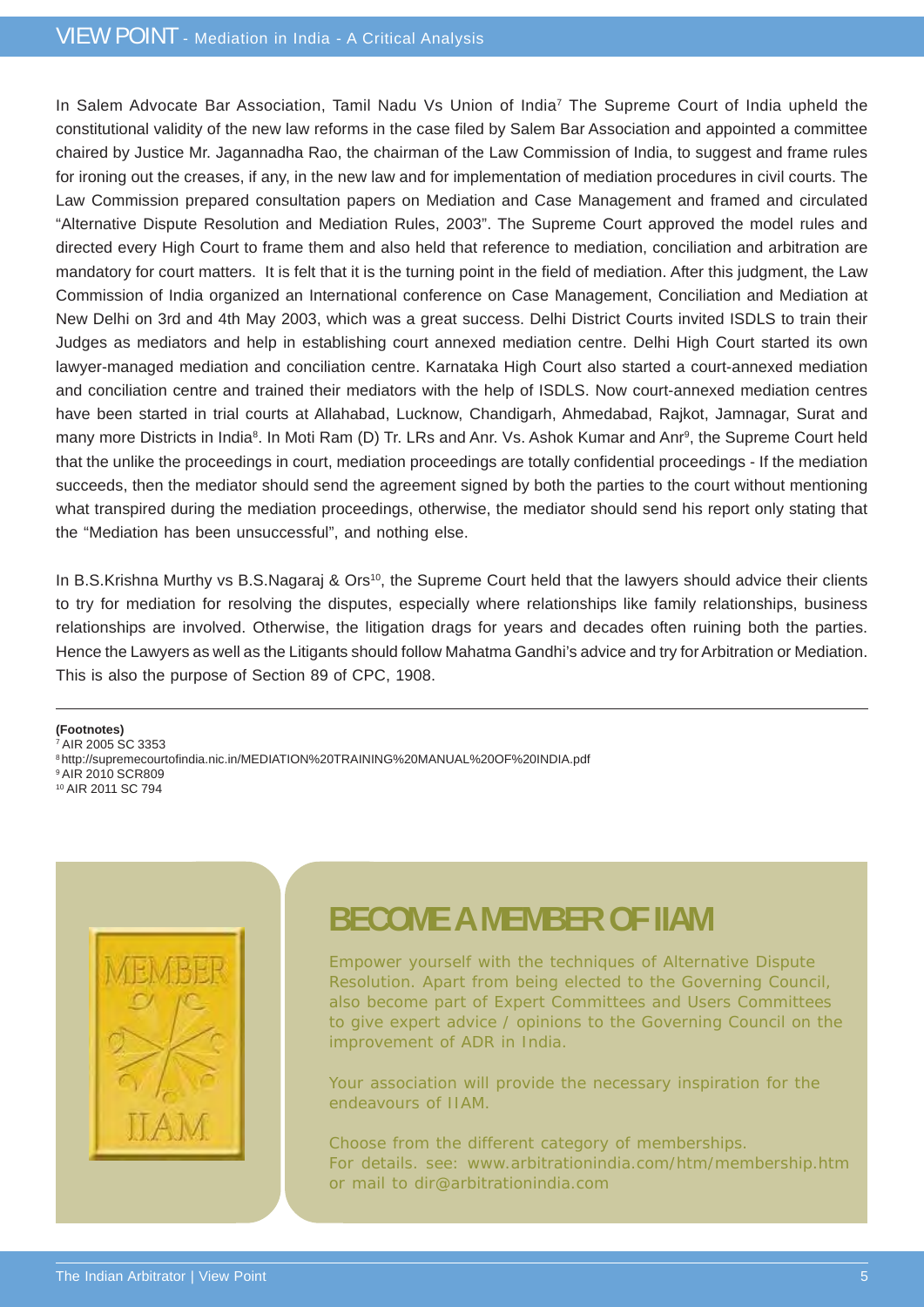## VIEW POINT - Mediation in India - A Critical Analysis

In Salem Advocate Bar Association, Tamil Nadu Vs Union of India<sup>7</sup> The Supreme Court of India upheld the constitutional validity of the new law reforms in the case filed by Salem Bar Association and appointed a committee chaired by Justice Mr. Jagannadha Rao, the chairman of the Law Commission of India, to suggest and frame rules for ironing out the creases, if any, in the new law and for implementation of mediation procedures in civil courts. The Law Commission prepared consultation papers on Mediation and Case Management and framed and circulated "Alternative Dispute Resolution and Mediation Rules, 2003". The Supreme Court approved the model rules and directed every High Court to frame them and also held that reference to mediation, conciliation and arbitration are mandatory for court matters. It is felt that it is the turning point in the field of mediation. After this judgment, the Law Commission of India organized an International conference on Case Management, Conciliation and Mediation at New Delhi on 3rd and 4th May 2003, which was a great success. Delhi District Courts invited ISDLS to train their Judges as mediators and help in establishing court annexed mediation centre. Delhi High Court started its own lawyer-managed mediation and conciliation centre. Karnataka High Court also started a court-annexed mediation and conciliation centre and trained their mediators with the help of ISDLS. Now court-annexed mediation centres have been started in trial courts at Allahabad, Lucknow, Chandigarh, Ahmedabad, Rajkot, Jamnagar, Surat and many more Districts in India<sup>8</sup>. In Moti Ram (D) Tr. LRs and Anr. Vs. Ashok Kumar and Anr<sup>9</sup>, the Supreme Court held that the unlike the proceedings in court, mediation proceedings are totally confidential proceedings - If the mediation succeeds, then the mediator should send the agreement signed by both the parties to the court without mentioning what transpired during the mediation proceedings, otherwise, the mediator should send his report only stating that the "Mediation has been unsuccessful", and nothing else.

In B.S.Krishna Murthy vs B.S.Nagaraj & Ors<sup>10</sup>, the Supreme Court held that the lawyers should advice their clients to try for mediation for resolving the disputes, especially where relationships like family relationships, business relationships are involved. Otherwise, the litigation drags for years and decades often ruining both the parties. Hence the Lawyers as well as the Litigants should follow Mahatma Gandhi's advice and try for Arbitration or Mediation. This is also the purpose of Section 89 of CPC, 1908.

#### **(Footnotes)**

7 AIR 2005 SC 3353

- 8 http://supremecourtofindia.nic.in/MEDIATION%20TRAINING%20MANUAL%20OF%20INDIA.pdf
- 9 AIR 2010 SCR809
- 10 AIR 2011 SC 794



## **BECOME A MEMBER OF IIAM**

Empower yourself with the techniques of Alternative Dispute Resolution. Apart from being elected to the Governing Council, also become part of Expert Committees and Users Committees to give expert advice / opinions to the Governing Council on the improvement of ADR in India.

Your association will provide the necessary inspiration for the endeavours of IIAM.

Choose from the different category of memberships. For details. see: www.arbitrationindia.com/htm/membership.htm or mail to dir@arbitrationindia.com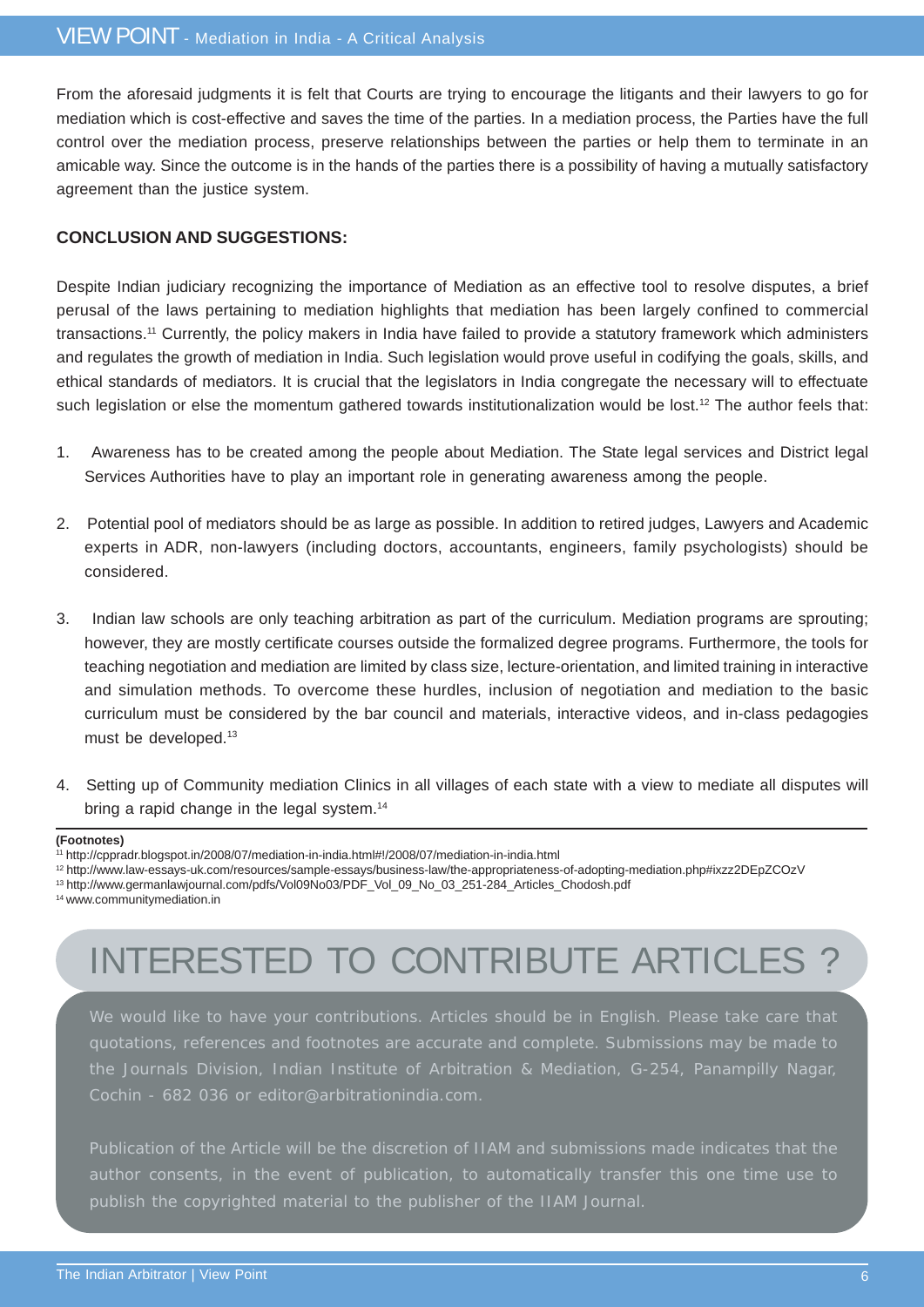From the aforesaid judgments it is felt that Courts are trying to encourage the litigants and their lawyers to go for mediation which is cost-effective and saves the time of the parties. In a mediation process, the Parties have the full control over the mediation process, preserve relationships between the parties or help them to terminate in an amicable way. Since the outcome is in the hands of the parties there is a possibility of having a mutually satisfactory agreement than the justice system.

### **CONCLUSION AND SUGGESTIONS:**

Despite Indian judiciary recognizing the importance of Mediation as an effective tool to resolve disputes, a brief perusal of the laws pertaining to mediation highlights that mediation has been largely confined to commercial transactions.11 Currently, the policy makers in India have failed to provide a statutory framework which administers and regulates the growth of mediation in India. Such legislation would prove useful in codifying the goals, skills, and ethical standards of mediators. It is crucial that the legislators in India congregate the necessary will to effectuate such legislation or else the momentum gathered towards institutionalization would be lost.<sup>12</sup> The author feels that:

- 1. Awareness has to be created among the people about Mediation. The State legal services and District legal Services Authorities have to play an important role in generating awareness among the people.
- 2. Potential pool of mediators should be as large as possible. In addition to retired judges, Lawyers and Academic experts in ADR, non-lawyers (including doctors, accountants, engineers, family psychologists) should be considered.
- 3. Indian law schools are only teaching arbitration as part of the curriculum. Mediation programs are sprouting; however, they are mostly certificate courses outside the formalized degree programs. Furthermore, the tools for teaching negotiation and mediation are limited by class size, lecture-orientation, and limited training in interactive and simulation methods. To overcome these hurdles, inclusion of negotiation and mediation to the basic curriculum must be considered by the bar council and materials, interactive videos, and in-class pedagogies must be developed.13
- 4. Setting up of Community mediation Clinics in all villages of each state with a view to mediate all disputes will bring a rapid change in the legal system.<sup>14</sup>

#### **(Footnotes)**

12 http://www.law-essays-uk.com/resources/sample-essays/business-law/the-appropriateness-of-adopting-mediation.php#ixzz2DEpZCOzV

13 http://www.germanlawjournal.com/pdfs/Vol09No03/PDF\_Vol\_09\_No\_03\_251-284\_Articles\_Chodosh.pdf

#### 14 www.communitymediation.in

## INTERESTED TO CONTRIBUTE ARTICLES ?

We would like to have your contributions. Articles should be in English. Please take care that quotations, references and footnotes are accurate and complete. Submissions may be made to the Journals Division, Indian Institute of Arbitration & Mediation, G-254, Panampilly Nagar, Cochin - 682 036 or editor@arbitrationindia.com.

Publication of the Article will be the discretion of IIAM and submissions made indicates that the author consents, in the event of publication, to automatically transfer this one time use to publish the copyrighted material to the publisher of the IIAM Journal.

<sup>11</sup> http://cppradr.blogspot.in/2008/07/mediation-in-india.html#!/2008/07/mediation-in-india.html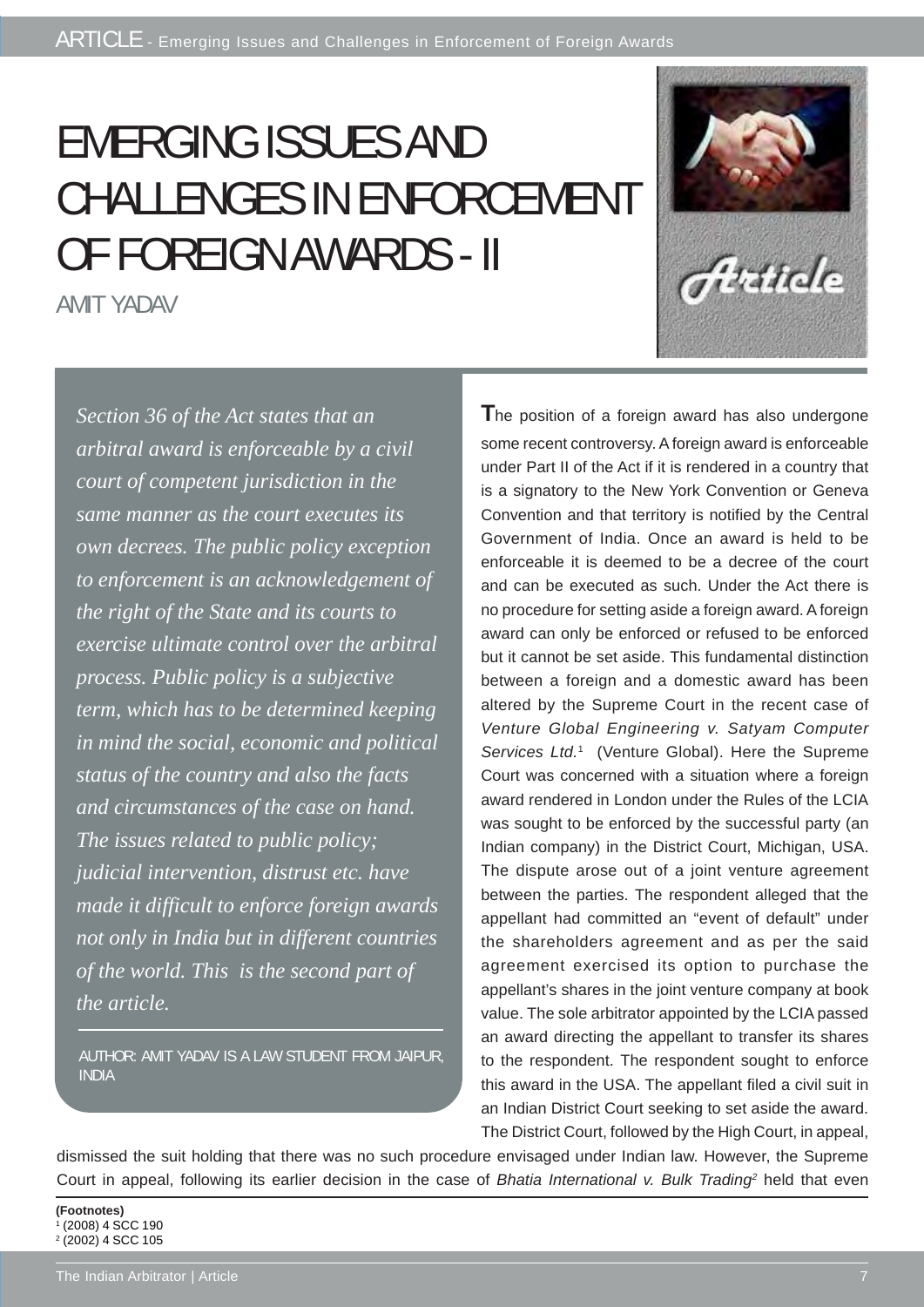# EMERGING ISSUES AND CHALLENGES IN ENFORCEMENT OF FOREIGN AWARDS - II

AMIT YADAV



AUTHOR: AMIT YADAV IS A LAW STUDENT FROM JAIPUR, INDIA

**T**he position of a foreign award has also undergone some recent controversy. A foreign award is enforceable under Part II of the Act if it is rendered in a country that is a signatory to the New York Convention or Geneva Convention and that territory is notified by the Central Government of India. Once an award is held to be enforceable it is deemed to be a decree of the court and can be executed as such. Under the Act there is no procedure for setting aside a foreign award. A foreign award can only be enforced or refused to be enforced but it cannot be set aside. This fundamental distinction between a foreign and a domestic award has been altered by the Supreme Court in the recent case of *Venture Global Engineering v. Satyam Computer* Services Ltd.<sup>1</sup> (Venture Global). Here the Supreme Court was concerned with a situation where a foreign award rendered in London under the Rules of the LCIA was sought to be enforced by the successful party (an Indian company) in the District Court, Michigan, USA. The dispute arose out of a joint venture agreement between the parties. The respondent alleged that the appellant had committed an "event of default" under the shareholders agreement and as per the said agreement exercised its option to purchase the appellant's shares in the joint venture company at book value. The sole arbitrator appointed by the LCIA passed an award directing the appellant to transfer its shares to the respondent. The respondent sought to enforce this award in the USA. The appellant filed a civil suit in an Indian District Court seeking to set aside the award. The District Court, followed by the High Court, in appeal,

Histide

dismissed the suit holding that there was no such procedure envisaged under Indian law. However, the Supreme Court in appeal, following its earlier decision in the case of *Bhatia International v. Bulk Trading*<sup>2</sup> held that even

**(Footnotes)** 1 (2008) 4 SCC 190 2 (2002) 4 SCC 105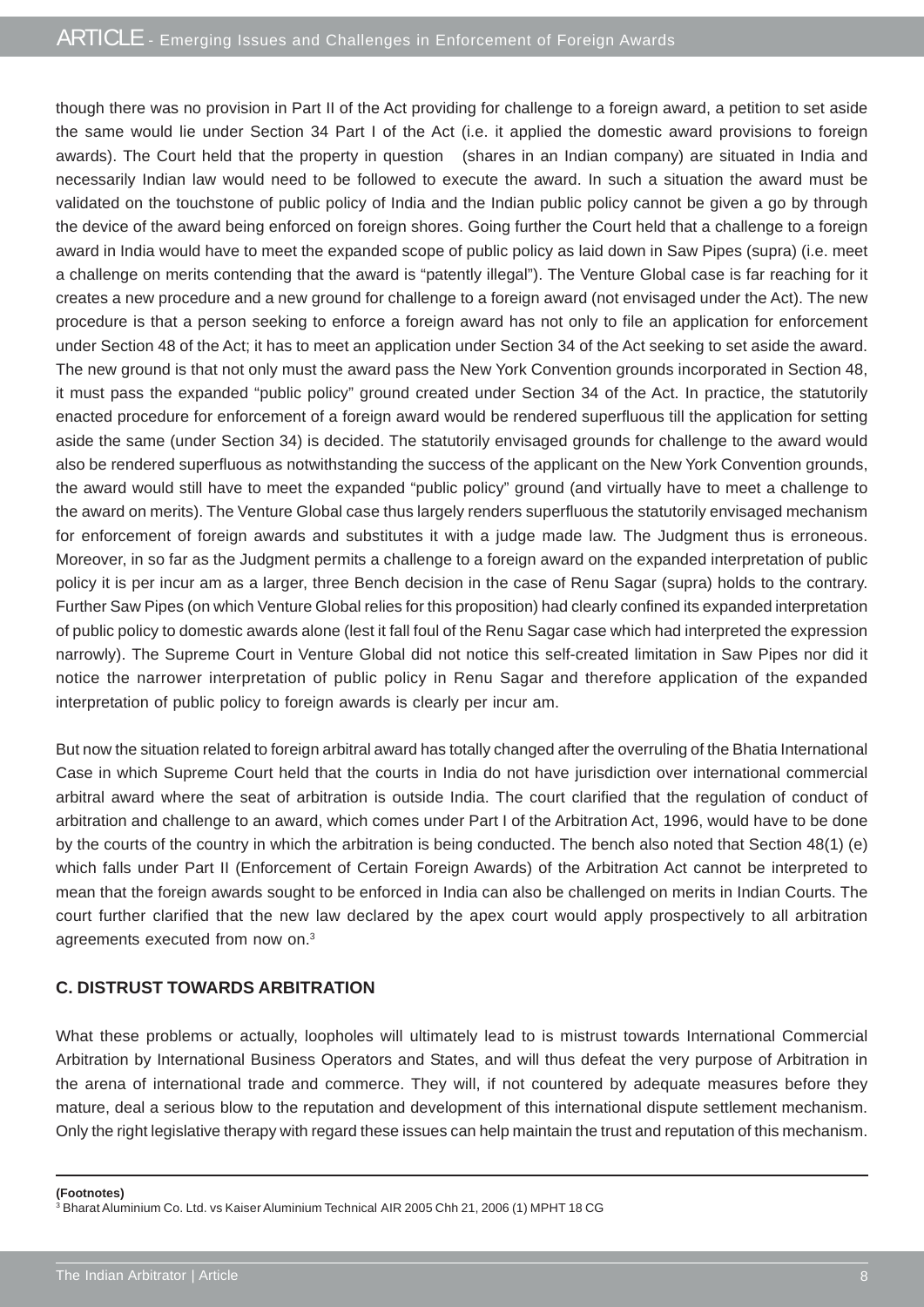though there was no provision in Part II of the Act providing for challenge to a foreign award, a petition to set aside the same would lie under Section 34 Part I of the Act (i.e. it applied the domestic award provisions to foreign awards). The Court held that the property in question (shares in an Indian company) are situated in India and necessarily Indian law would need to be followed to execute the award. In such a situation the award must be validated on the touchstone of public policy of India and the Indian public policy cannot be given a go by through the device of the award being enforced on foreign shores. Going further the Court held that a challenge to a foreign award in India would have to meet the expanded scope of public policy as laid down in Saw Pipes (supra) (i.e. meet a challenge on merits contending that the award is "patently illegal"). The Venture Global case is far reaching for it creates a new procedure and a new ground for challenge to a foreign award (not envisaged under the Act). The new procedure is that a person seeking to enforce a foreign award has not only to file an application for enforcement under Section 48 of the Act; it has to meet an application under Section 34 of the Act seeking to set aside the award. The new ground is that not only must the award pass the New York Convention grounds incorporated in Section 48, it must pass the expanded "public policy" ground created under Section 34 of the Act. In practice, the statutorily enacted procedure for enforcement of a foreign award would be rendered superfluous till the application for setting aside the same (under Section 34) is decided. The statutorily envisaged grounds for challenge to the award would also be rendered superfluous as notwithstanding the success of the applicant on the New York Convention grounds, the award would still have to meet the expanded "public policy" ground (and virtually have to meet a challenge to the award on merits). The Venture Global case thus largely renders superfluous the statutorily envisaged mechanism for enforcement of foreign awards and substitutes it with a judge made law. The Judgment thus is erroneous. Moreover, in so far as the Judgment permits a challenge to a foreign award on the expanded interpretation of public policy it is per incur am as a larger, three Bench decision in the case of Renu Sagar (supra) holds to the contrary. Further Saw Pipes (on which Venture Global relies for this proposition) had clearly confined its expanded interpretation of public policy to domestic awards alone (lest it fall foul of the Renu Sagar case which had interpreted the expression narrowly). The Supreme Court in Venture Global did not notice this self-created limitation in Saw Pipes nor did it notice the narrower interpretation of public policy in Renu Sagar and therefore application of the expanded interpretation of public policy to foreign awards is clearly per incur am.

But now the situation related to foreign arbitral award has totally changed after the overruling of the Bhatia International Case in which Supreme Court held that the courts in India do not have jurisdiction over international commercial arbitral award where the seat of arbitration is outside India. The court clarified that the regulation of conduct of arbitration and challenge to an award, which comes under Part I of the Arbitration Act, 1996, would have to be done by the courts of the country in which the arbitration is being conducted. The bench also noted that Section 48(1) (e) which falls under Part II (Enforcement of Certain Foreign Awards) of the Arbitration Act cannot be interpreted to mean that the foreign awards sought to be enforced in India can also be challenged on merits in Indian Courts. The court further clarified that the new law declared by the apex court would apply prospectively to all arbitration agreements executed from now on.3

### **C. DISTRUST TOWARDS ARBITRATION**

What these problems or actually, loopholes will ultimately lead to is mistrust towards International Commercial Arbitration by International Business Operators and States, and will thus defeat the very purpose of Arbitration in the arena of international trade and commerce. They will, if not countered by adequate measures before they mature, deal a serious blow to the reputation and development of this international dispute settlement mechanism. Only the right legislative therapy with regard these issues can help maintain the trust and reputation of this mechanism.

**(Footnotes)** 3 Bharat Aluminium Co. Ltd. vs Kaiser Aluminium Technical AIR 2005 Chh 21, 2006 (1) MPHT 18 CG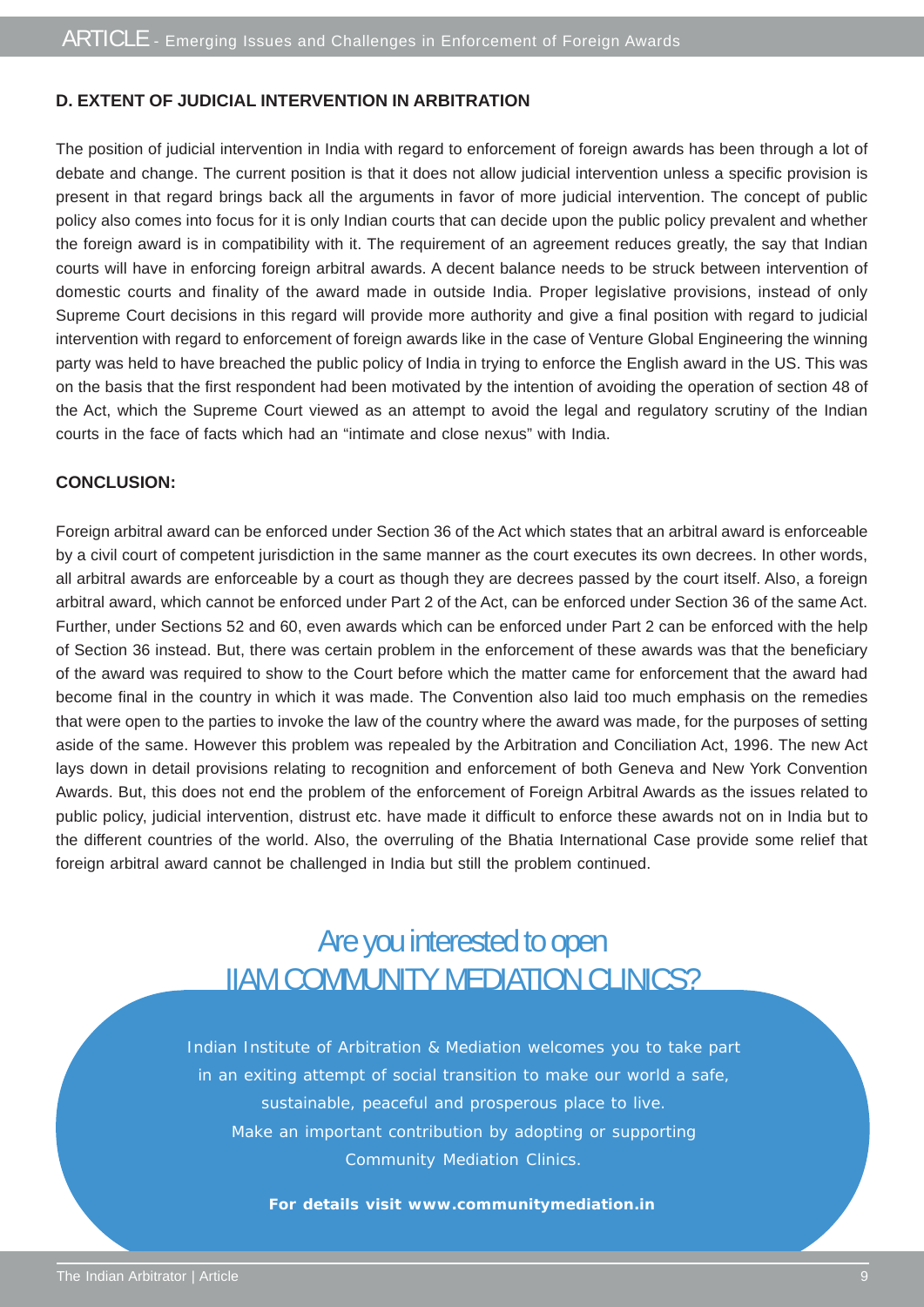### **D. EXTENT OF JUDICIAL INTERVENTION IN ARBITRATION**

The position of judicial intervention in India with regard to enforcement of foreign awards has been through a lot of debate and change. The current position is that it does not allow judicial intervention unless a specific provision is present in that regard brings back all the arguments in favor of more judicial intervention. The concept of public policy also comes into focus for it is only Indian courts that can decide upon the public policy prevalent and whether the foreign award is in compatibility with it. The requirement of an agreement reduces greatly, the say that Indian courts will have in enforcing foreign arbitral awards. A decent balance needs to be struck between intervention of domestic courts and finality of the award made in outside India. Proper legislative provisions, instead of only Supreme Court decisions in this regard will provide more authority and give a final position with regard to judicial intervention with regard to enforcement of foreign awards like in the case of Venture Global Engineering the winning party was held to have breached the public policy of India in trying to enforce the English award in the US. This was on the basis that the first respondent had been motivated by the intention of avoiding the operation of section 48 of the Act, which the Supreme Court viewed as an attempt to avoid the legal and regulatory scrutiny of the Indian courts in the face of facts which had an "intimate and close nexus" with India.

#### **CONCLUSION:**

Foreign arbitral award can be enforced under Section 36 of the Act which states that an arbitral award is enforceable by a civil court of competent jurisdiction in the same manner as the court executes its own decrees. In other words, all arbitral awards are enforceable by a court as though they are decrees passed by the court itself. Also, a foreign arbitral award, which cannot be enforced under Part 2 of the Act, can be enforced under Section 36 of the same Act. Further, under Sections 52 and 60, even awards which can be enforced under Part 2 can be enforced with the help of Section 36 instead. But, there was certain problem in the enforcement of these awards was that the beneficiary of the award was required to show to the Court before which the matter came for enforcement that the award had become final in the country in which it was made. The Convention also laid too much emphasis on the remedies that were open to the parties to invoke the law of the country where the award was made, for the purposes of setting aside of the same. However this problem was repealed by the Arbitration and Conciliation Act, 1996. The new Act lays down in detail provisions relating to recognition and enforcement of both Geneva and New York Convention Awards. But, this does not end the problem of the enforcement of Foreign Arbitral Awards as the issues related to public policy, judicial intervention, distrust etc. have made it difficult to enforce these awards not on in India but to the different countries of the world. Also, the overruling of the Bhatia International Case provide some relief that foreign arbitral award cannot be challenged in India but still the problem continued.

## Are you interested to open IIAM COMMUNITY MEDIATION CLINICS?

Indian Institute of Arbitration & Mediation welcomes you to take part in an exiting attempt of social transition to make our world a safe, sustainable, peaceful and prosperous place to live. Make an important contribution by adopting or supporting Community Mediation Clinics.

**For details visit www.communitymediation.in**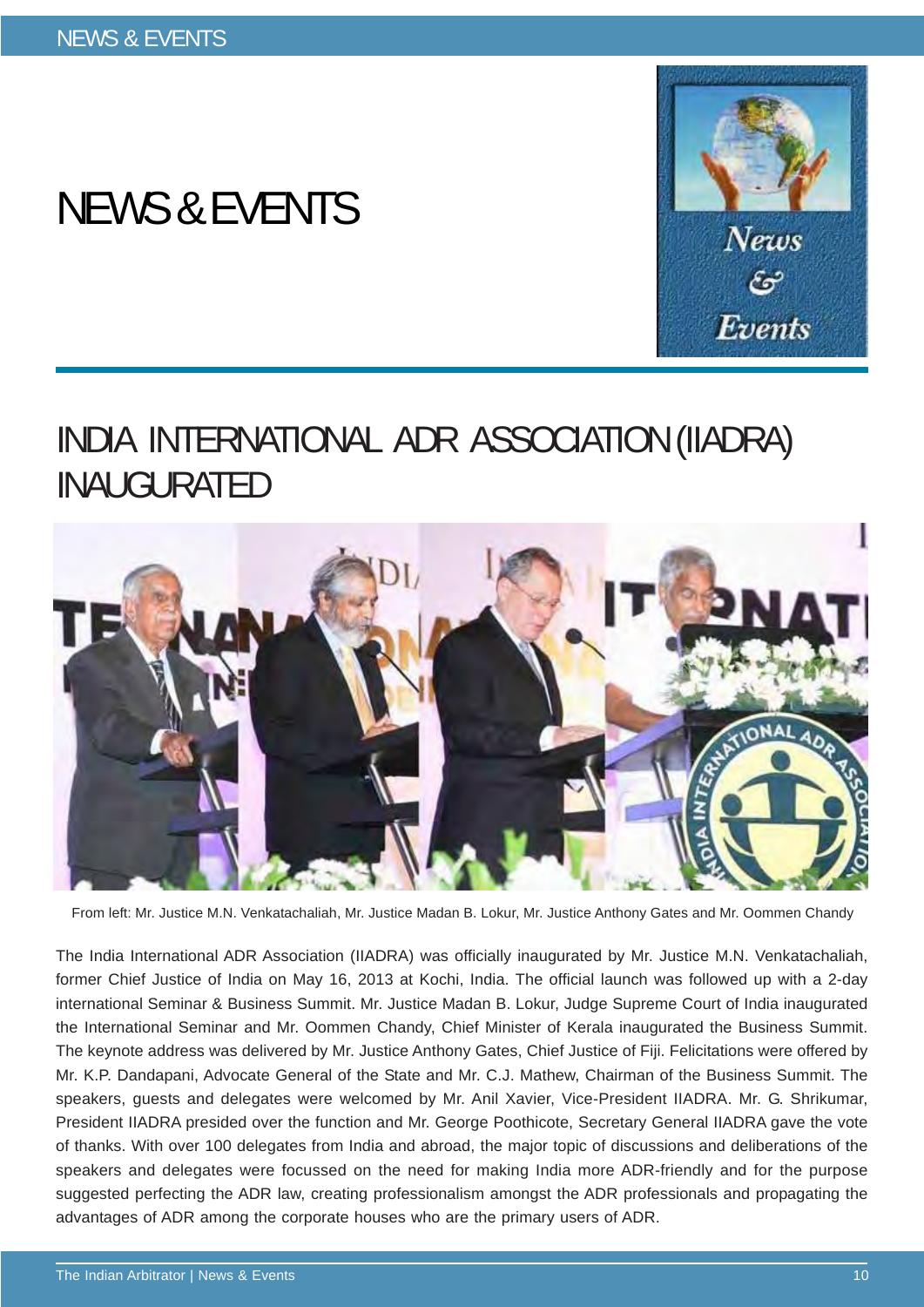# NEWS & EVENTS



## INDIA INTERNATIONAL ADR ASSOCIATION (IIADRA) INAUGURATED



From left: Mr. Justice M.N. Venkatachaliah, Mr. Justice Madan B. Lokur, Mr. Justice Anthony Gates and Mr. Oommen Chandy

The India International ADR Association (IIADRA) was officially inaugurated by Mr. Justice M.N. Venkatachaliah, former Chief Justice of India on May 16, 2013 at Kochi, India. The official launch was followed up with a 2-day international Seminar & Business Summit. Mr. Justice Madan B. Lokur, Judge Supreme Court of India inaugurated the International Seminar and Mr. Oommen Chandy, Chief Minister of Kerala inaugurated the Business Summit. The keynote address was delivered by Mr. Justice Anthony Gates, Chief Justice of Fiji. Felicitations were offered by Mr. K.P. Dandapani, Advocate General of the State and Mr. C.J. Mathew, Chairman of the Business Summit. The speakers, guests and delegates were welcomed by Mr. Anil Xavier, Vice-President IIADRA. Mr. G. Shrikumar, President IIADRA presided over the function and Mr. George Poothicote, Secretary General IIADRA gave the vote of thanks. With over 100 delegates from India and abroad, the major topic of discussions and deliberations of the speakers and delegates were focussed on the need for making India more ADR-friendly and for the purpose suggested perfecting the ADR law, creating professionalism amongst the ADR professionals and propagating the advantages of ADR among the corporate houses who are the primary users of ADR.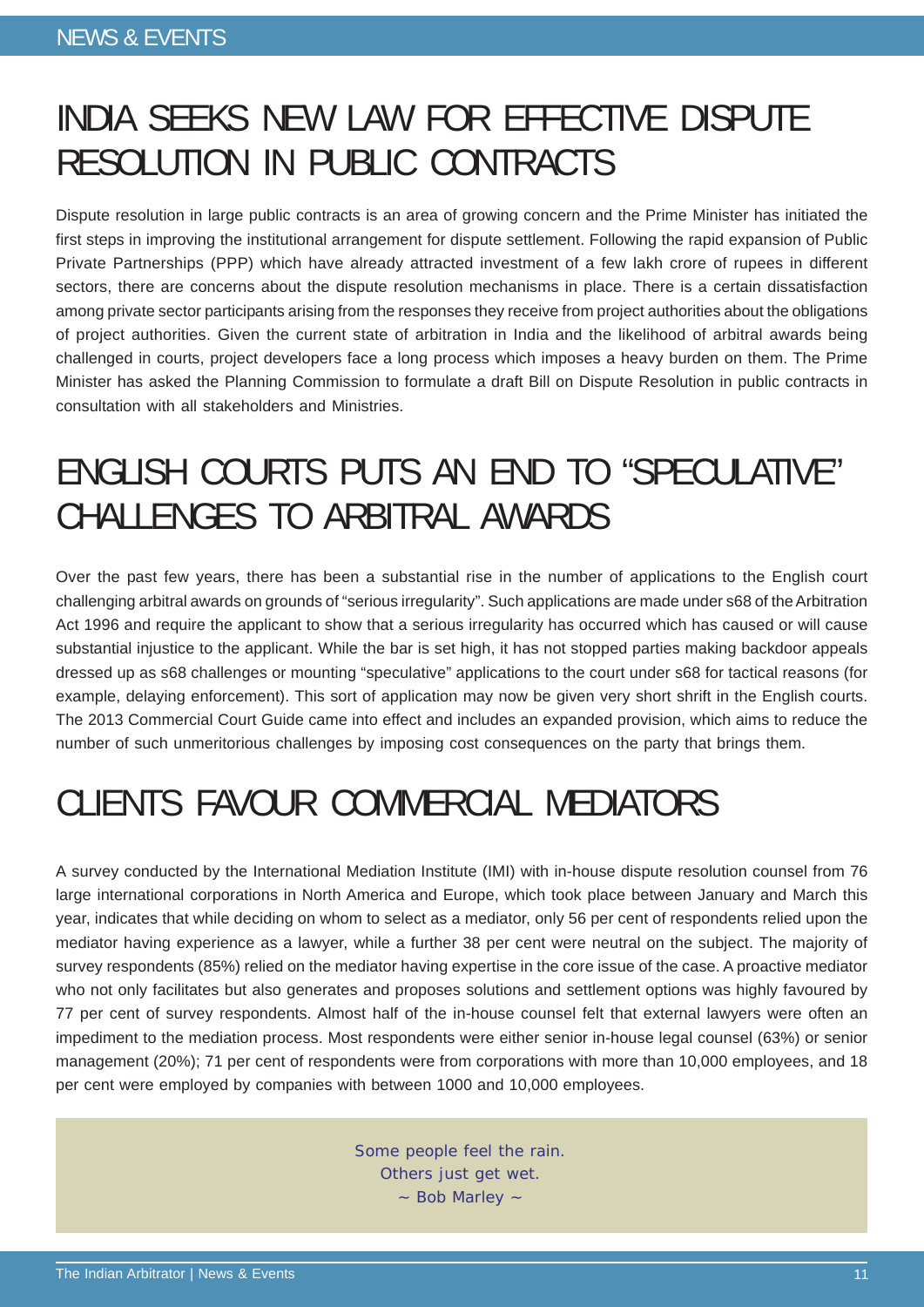## INDIA SEEKS NEW LAW FOR EFFECTIVE DISPUTE RESOLUTION IN PUBLIC CONTRACTS

Dispute resolution in large public contracts is an area of growing concern and the Prime Minister has initiated the first steps in improving the institutional arrangement for dispute settlement. Following the rapid expansion of Public Private Partnerships (PPP) which have already attracted investment of a few lakh crore of rupees in different sectors, there are concerns about the dispute resolution mechanisms in place. There is a certain dissatisfaction among private sector participants arising from the responses they receive from project authorities about the obligations of project authorities. Given the current state of arbitration in India and the likelihood of arbitral awards being challenged in courts, project developers face a long process which imposes a heavy burden on them. The Prime Minister has asked the Planning Commission to formulate a draft Bill on Dispute Resolution in public contracts in consultation with all stakeholders and Ministries.

## ENGLISH COURTS PUTS AN END TO "SPECULATIVE" CHALLENGES TO ARBITRAL AWARDS

Over the past few years, there has been a substantial rise in the number of applications to the English court challenging arbitral awards on grounds of "serious irregularity". Such applications are made under s68 of the Arbitration Act 1996 and require the applicant to show that a serious irregularity has occurred which has caused or will cause substantial injustice to the applicant. While the bar is set high, it has not stopped parties making backdoor appeals dressed up as s68 challenges or mounting "speculative" applications to the court under s68 for tactical reasons (for example, delaying enforcement). This sort of application may now be given very short shrift in the English courts. The 2013 Commercial Court Guide came into effect and includes an expanded provision, which aims to reduce the number of such unmeritorious challenges by imposing cost consequences on the party that brings them.

## CLIENTS FAVOUR COMMERCIAL MEDIATORS

A survey conducted by the International Mediation Institute (IMI) with in-house dispute resolution counsel from 76 large international corporations in North America and Europe, which took place between January and March this year, indicates that while deciding on whom to select as a mediator, only 56 per cent of respondents relied upon the mediator having experience as a lawyer, while a further 38 per cent were neutral on the subject. The majority of survey respondents (85%) relied on the mediator having expertise in the core issue of the case. A proactive mediator who not only facilitates but also generates and proposes solutions and settlement options was highly favoured by 77 per cent of survey respondents. Almost half of the in-house counsel felt that external lawyers were often an impediment to the mediation process. Most respondents were either senior in-house legal counsel (63%) or senior management (20%); 71 per cent of respondents were from corporations with more than 10,000 employees, and 18 per cent were employed by companies with between 1000 and 10,000 employees.

> Some people feel the rain. Others just get wet. ~ Bob Marley ~